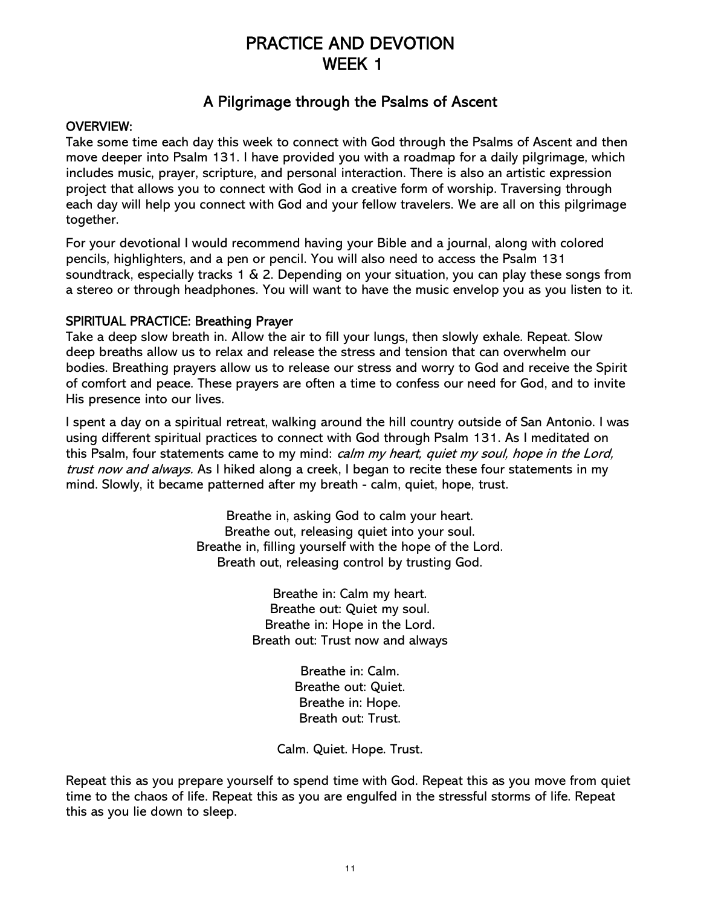# PRACTICE AND DEVOTION WEEK 1

# A Pilgrimage through the Psalms of Ascent

## OVERVIEW:

Take some time each day this week to connect with God through the Psalms of Ascent and then move deeper into Psalm 131. I have provided you with a roadmap for a daily pilgrimage, which includes music, prayer, scripture, and personal interaction. There is also an artistic expression project that allows you to connect with God in a creative form of worship. Traversing through each day will help you connect with God and your fellow travelers. We are all on this pilgrimage together.

For your devotional I would recommend having your Bible and a journal, along with colored pencils, highlighters, and a pen or pencil. You will also need to access the Psalm 131 soundtrack, especially tracks 1 & 2. Depending on your situation, you can play these songs from a stereo or through headphones. You will want to have the music envelop you as you listen to it.

## SPIRITUAL PRACTICE: Breathing Prayer

Take a deep slow breath in. Allow the air to fill your lungs, then slowly exhale. Repeat. Slow deep breaths allow us to relax and release the stress and tension that can overwhelm our bodies. Breathing prayers allow us to release our stress and worry to God and receive the Spirit of comfort and peace. These prayers are often a time to confess our need for God, and to invite His presence into our lives.

I spent a day on a spiritual retreat, walking around the hill country outside of San Antonio. I was using different spiritual practices to connect with God through Psalm 131. As I meditated on this Psalm, four statements came to my mind: calm my heart, quiet my soul, hope in the Lord, trust now and always. As I hiked along a creek, I began to recite these four statements in my mind. Slowly, it became patterned after my breath - calm, quiet, hope, trust.

> Breathe in, asking God to calm your heart. Breathe out, releasing quiet into your soul. Breathe in, filling yourself with the hope of the Lord. Breath out, releasing control by trusting God.

> > Breathe in: Calm my heart. Breathe out: Quiet my soul. Breathe in: Hope in the Lord. Breath out: Trust now and always

> > > Breathe in: Calm. Breathe out: Quiet. Breathe in: Hope. Breath out: Trust.

Calm. Quiet. Hope. Trust.

Repeat this as you prepare yourself to spend time with God. Repeat this as you move from quiet time to the chaos of life. Repeat this as you are engulfed in the stressful storms of life. Repeat this as you lie down to sleep.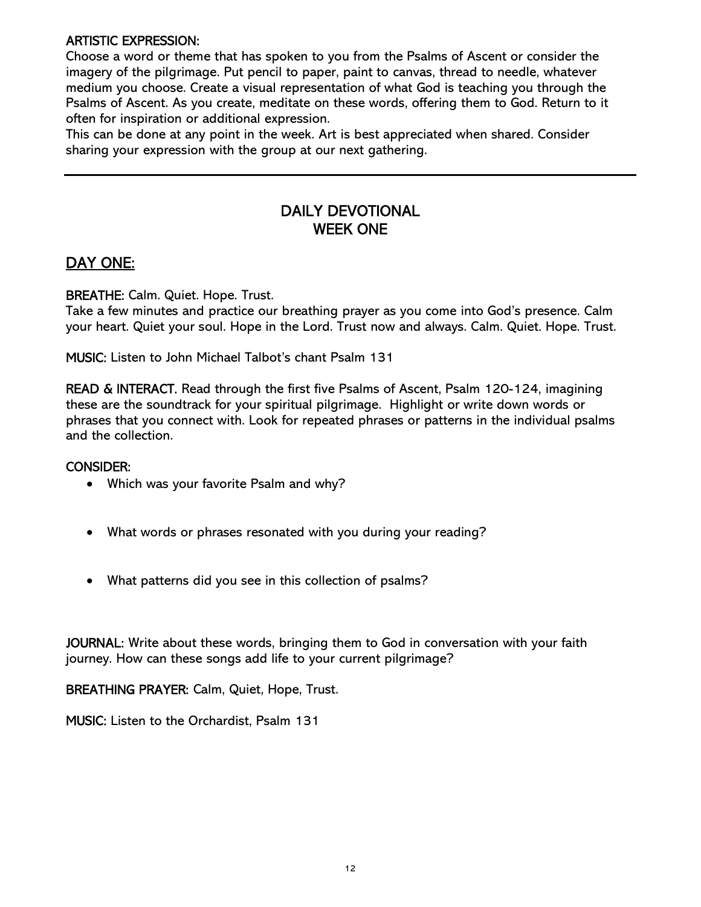## ARTISTIC EXPRESSION:

Choose a word or theme that has spoken to you from the Psalms of Ascent or consider the imagery of the pilgrimage. Put pencil to paper, paint to canvas, thread to needle, whatever medium you choose. Create a visual representation of what God is teaching you through the Psalms of Ascent. As you create, meditate on these words, offering them to God. Return to it often for inspiration or additional expression.

This can be done at any point in the week. Art is best appreciated when shared. Consider sharing your expression with the group at our next gathering.

# DAILY DEVOTIONAL WEEK ONE

# DAY ONE:

BREATHE: Calm. Quiet. Hope. Trust.

Take a few minutes and practice our breathing prayer as you come into God's presence. Calm your heart. Quiet your soul. Hope in the Lord. Trust now and always. Calm. Quiet. Hope. Trust.

MUSIC: Listen to John Michael Talbot's chant Psalm 131

READ & INTERACT. Read through the first five Psalms of Ascent, Psalm 120-124, imagining these are the soundtrack for your spiritual pilgrimage. Highlight or write down words or phrases that you connect with. Look for repeated phrases or patterns in the individual psalms and the collection.

## CONSIDER:

- Which was your favorite Psalm and why?
- What words or phrases resonated with you during your reading?
- What patterns did you see in this collection of psalms?

JOURNAL: Write about these words, bringing them to God in conversation with your faith journey. How can these songs add life to your current pilgrimage?

BREATHING PRAYER: Calm, Quiet, Hope, Trust.

MUSIC: Listen to the Orchardist, Psalm 131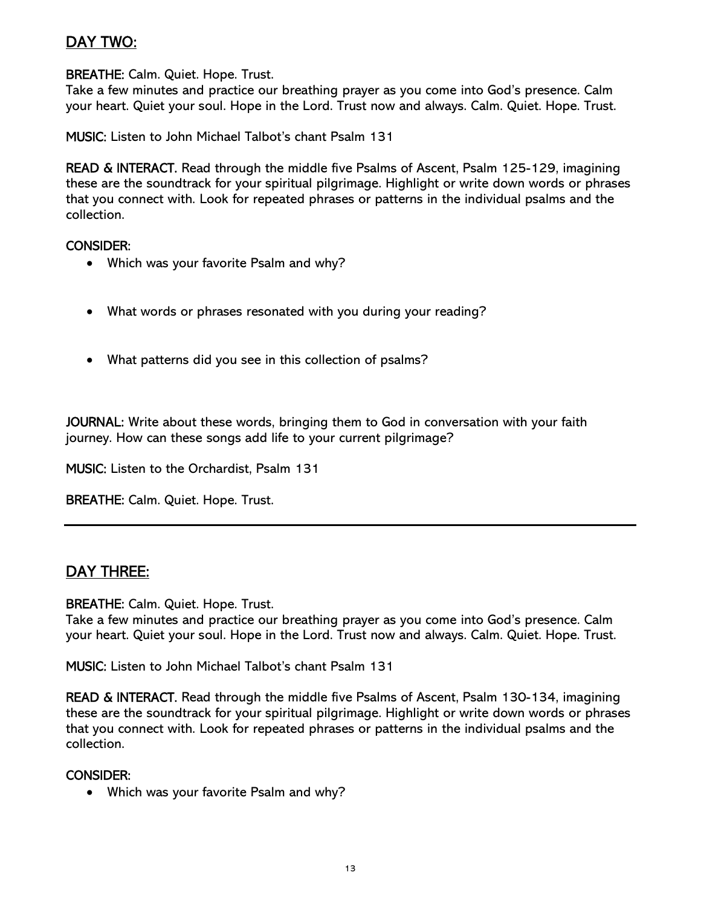# DAY TWO:

BREATHE: Calm. Quiet. Hope. Trust.

Take a few minutes and practice our breathing prayer as you come into God's presence. Calm your heart. Quiet your soul. Hope in the Lord. Trust now and always. Calm. Quiet. Hope. Trust.

MUSIC: Listen to John Michael Talbot's chant Psalm 131

READ & INTERACT. Read through the middle five Psalms of Ascent, Psalm 125-129, imagining these are the soundtrack for your spiritual pilgrimage. Highlight or write down words or phrases that you connect with. Look for repeated phrases or patterns in the individual psalms and the collection.

#### CONSIDER:

- Which was your favorite Psalm and why?
- What words or phrases resonated with you during your reading?
- What patterns did you see in this collection of psalms?

JOURNAL: Write about these words, bringing them to God in conversation with your faith journey. How can these songs add life to your current pilgrimage?

MUSIC: Listen to the Orchardist, Psalm 131

BREATHE: Calm. Quiet. Hope. Trust.

# DAY THREE:

#### BREATHE: Calm. Quiet. Hope. Trust.

Take a few minutes and practice our breathing prayer as you come into God's presence. Calm your heart. Quiet your soul. Hope in the Lord. Trust now and always. Calm. Quiet. Hope. Trust.

MUSIC: Listen to John Michael Talbot's chant Psalm 131

READ & INTERACT. Read through the middle five Psalms of Ascent, Psalm 130-134, imagining these are the soundtrack for your spiritual pilgrimage. Highlight or write down words or phrases that you connect with. Look for repeated phrases or patterns in the individual psalms and the collection.

#### CONSIDER:

Which was your favorite Psalm and why?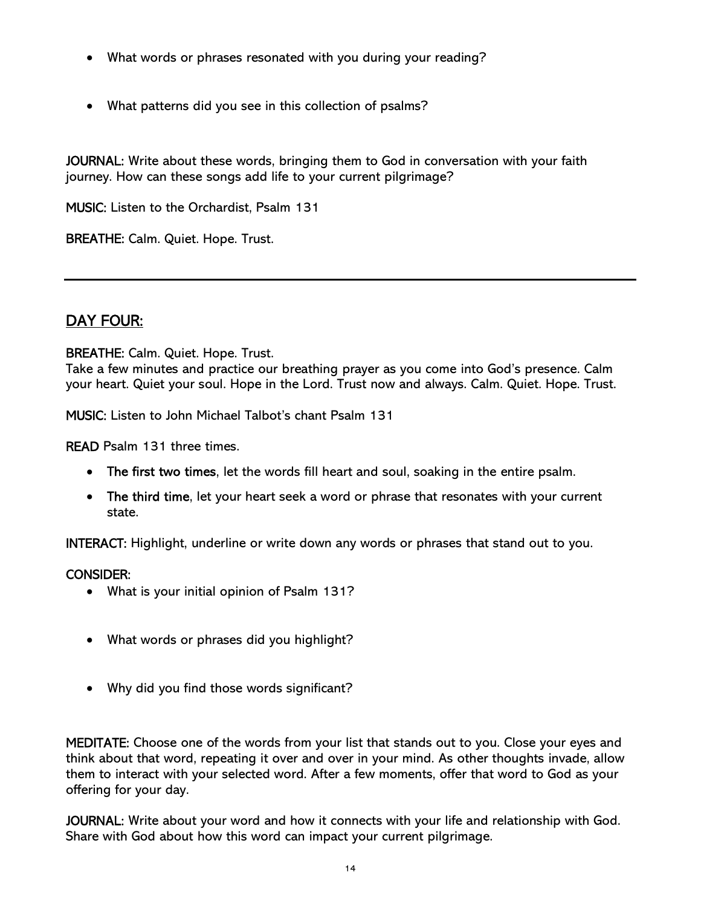- What words or phrases resonated with you during your reading?
- What patterns did you see in this collection of psalms?

JOURNAL: Write about these words, bringing them to God in conversation with your faith journey. How can these songs add life to your current pilgrimage?

MUSIC: Listen to the Orchardist, Psalm 131

BREATHE: Calm. Quiet. Hope. Trust.

# DAY FOUR:

BREATHE: Calm. Quiet. Hope. Trust.

Take a few minutes and practice our breathing prayer as you come into God's presence. Calm your heart. Quiet your soul. Hope in the Lord. Trust now and always. Calm. Quiet. Hope. Trust.

MUSIC: Listen to John Michael Talbot's chant Psalm 131

READ Psalm 131 three times.

- The first two times, let the words fill heart and soul, soaking in the entire psalm.
- The third time, let your heart seek a word or phrase that resonates with your current state.

INTERACT: Highlight, underline or write down any words or phrases that stand out to you.

## CONSIDER:

- What is your initial opinion of Psalm 131?
- What words or phrases did you highlight?
- Why did you find those words significant?

MEDITATE: Choose one of the words from your list that stands out to you. Close your eyes and think about that word, repeating it over and over in your mind. As other thoughts invade, allow them to interact with your selected word. After a few moments, offer that word to God as your offering for your day.

JOURNAL: Write about your word and how it connects with your life and relationship with God. Share with God about how this word can impact your current pilgrimage.